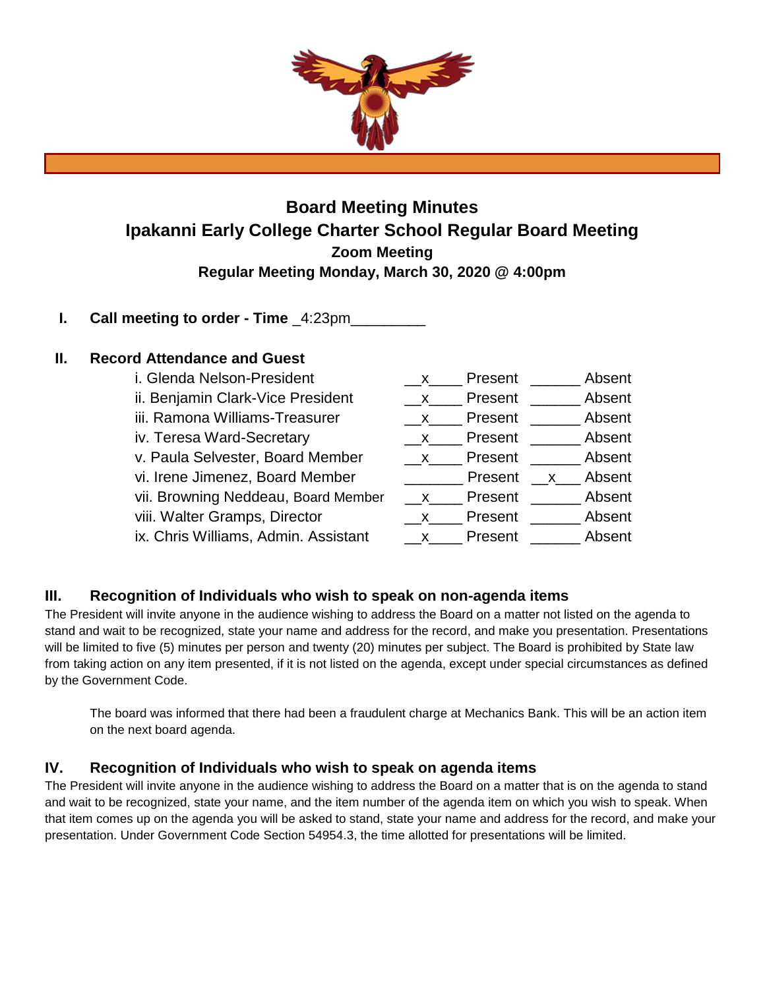

# **Board Meeting Minutes Ipakanni Early College Charter School Regular Board Meeting Zoom Meeting Regular Meeting Monday, March 30, 2020 @ 4:00pm**

## **I.** Call meeting to order - Time  $4:23$ pm

### **II. Record Attendance and Guest**

| $\mathbf{X}$ | Present |              | Absent |
|--------------|---------|--------------|--------|
| $\mathsf{X}$ | Present |              | Absent |
| $\mathsf{X}$ | Present |              | Absent |
| $\mathsf{X}$ | Present |              | Absent |
| $X_{1}$      | Present |              | Absent |
|              | Present | $\mathsf{X}$ | Absent |
| $\mathsf{X}$ | Present |              | Absent |
| X.           | Present |              | Absent |
| X.           | Present |              | Absent |
|              |         |              |        |

## **III. Recognition of Individuals who wish to speak on non-agenda items**

The President will invite anyone in the audience wishing to address the Board on a matter not listed on the agenda to stand and wait to be recognized, state your name and address for the record, and make you presentation. Presentations will be limited to five (5) minutes per person and twenty (20) minutes per subject. The Board is prohibited by State law from taking action on any item presented, if it is not listed on the agenda, except under special circumstances as defined by the Government Code.

The board was informed that there had been a fraudulent charge at Mechanics Bank. This will be an action item on the next board agenda.

### **IV. Recognition of Individuals who wish to speak on agenda items**

The President will invite anyone in the audience wishing to address the Board on a matter that is on the agenda to stand and wait to be recognized, state your name, and the item number of the agenda item on which you wish to speak. When that item comes up on the agenda you will be asked to stand, state your name and address for the record, and make your presentation. Under Government Code Section 54954.3, the time allotted for presentations will be limited.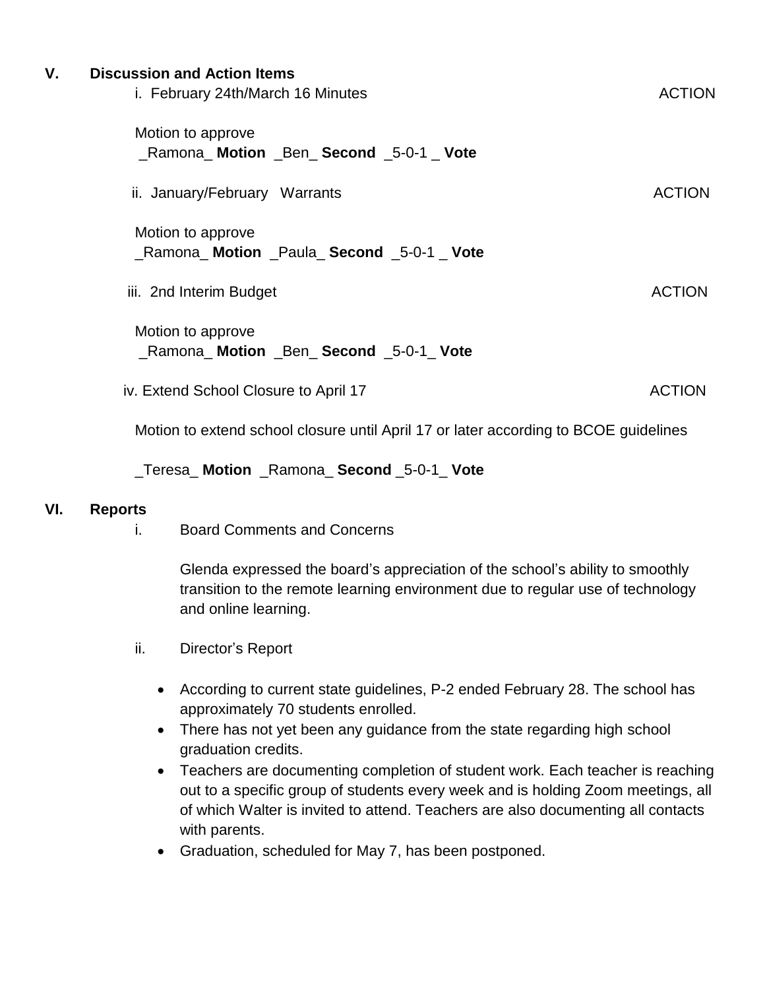| ۷. | <b>Discussion and Action Items</b><br>i. February 24th/March 16 Minutes | <b>ACTION</b> |
|----|-------------------------------------------------------------------------|---------------|
|    | Motion to approve<br>_Ramona_Motion _Ben_Second _5-0-1 _ Vote           |               |
|    | ii. January/February Warrants                                           | <b>ACTION</b> |
|    | Motion to approve<br>Ramona Motion Paula Second 5-0-1 Vote              |               |
|    | iii. 2nd Interim Budget                                                 | <b>ACTION</b> |
|    | Motion to approve<br>_Ramona_ Motion _Ben_Second _5-0-1_Vote            |               |
|    | iv. Extend School Closure to April 17                                   | <b>ACTION</b> |

Motion to extend school closure until April 17 or later according to BCOE guidelines

\_Teresa\_ **Motion** \_Ramona\_ **Second** \_5-0-1\_ **Vote**

## **VI. Reports**

i. Board Comments and Concerns

Glenda expressed the board's appreciation of the school's ability to smoothly transition to the remote learning environment due to regular use of technology and online learning.

- ii. Director's Report
	- According to current state guidelines, P-2 ended February 28. The school has approximately 70 students enrolled.
	- There has not yet been any guidance from the state regarding high school graduation credits.
	- Teachers are documenting completion of student work. Each teacher is reaching out to a specific group of students every week and is holding Zoom meetings, all of which Walter is invited to attend. Teachers are also documenting all contacts with parents.
	- Graduation, scheduled for May 7, has been postponed.